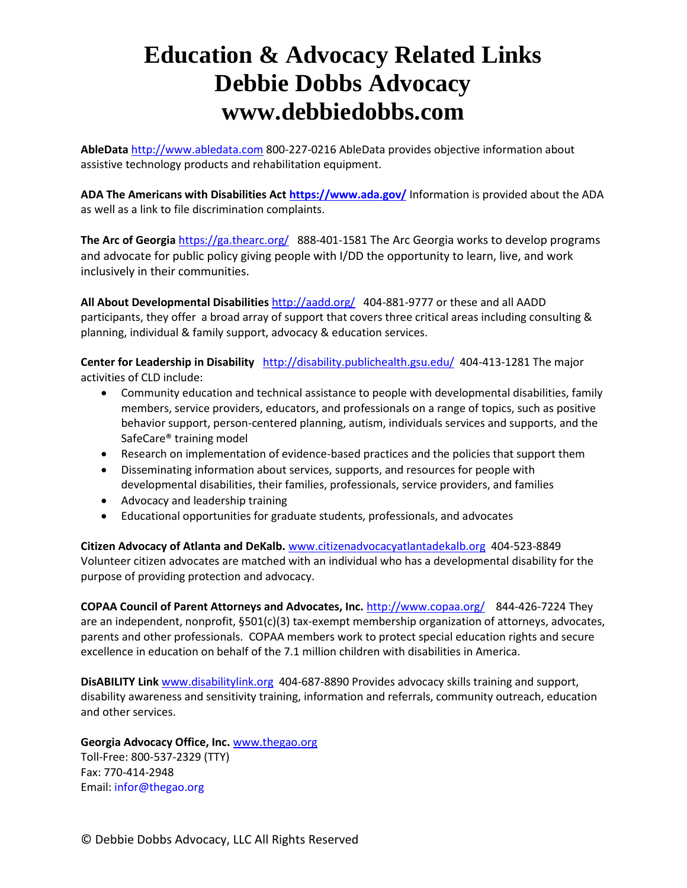**AbleData** [http://www.abledata.com](http://www.abledata.com/abledata.cfm?CFID=48842925&CFTOKEN=e017a330ac8b36c2-C03D3E58-CF8A-FA13-BC4A831F9622440D) 800-227-0216 AbleData provides objective information about assistive technology products and rehabilitation equipment.

**ADA The Americans with Disabilities Act<https://www.ada.gov/>** Information is provided about the ADA as well as a link to file discrimination complaints.

**The Arc of Georgia** <https://ga.thearc.org/>888-401-1581 The Arc Georgia works to develop programs and advocate for public policy giving people with I/DD the opportunity to learn, live, and work inclusively in their communities.

**All About Developmental Disabilities** <http://aadd.org/>404-881-9777 or these and all AADD participants, they offer a broad array of support that covers three critical areas including consulting & planning, individual & family support, advocacy & education services.

**Center for Leadership in Disability** <http://disability.publichealth.gsu.edu/> 404-413-1281 The major activities of CLD include:

- Community education and technical assistance to people with developmental disabilities, family members, service providers, educators, and professionals on a range of topics, such as positive behavior support, person-centered planning, autism, individuals services and supports, and the SafeCare® training model
- Research on implementation of evidence-based practices and the policies that support them
- Disseminating information about services, supports, and resources for people with developmental disabilities, their families, professionals, service providers, and families
- Advocacy and leadership training
- Educational opportunities for graduate students, professionals, and advocates

**Citizen Advocacy of Atlanta and DeKalb.** [www.citizenadvocacyatlantadekalb.org](http://www.citizenadvocacyatlantadekalb.org/)404-523-8849 Volunteer citizen advocates are matched with an individual who has a developmental disability for the purpose of providing protection and advocacy.

**COPAA Council of Parent Attorneys and Advocates, Inc.** <http://www.copaa.org/>844-426-7224 They are an independent, nonprofit, §501(c)(3) tax-exempt membership organization of attorneys, advocates, parents and other professionals. COPAA members work to protect special education rights and secure excellence in education on behalf of the 7.1 million children with disabilities in America.

**DisABILITY Link** [www.disabilitylink.org](http://www.disabilitylink.org/) 404-687-8890 Provides advocacy skills training and support, disability awareness and sensitivity training, information and referrals, community outreach, education and other services.

**Georgia Advocacy Office, Inc.** [www.thegao.org](http://www.thegao.org/) Toll-Free: 800-537-2329 (TTY) Fax: 770-414-2948 Email: infor@thegao.org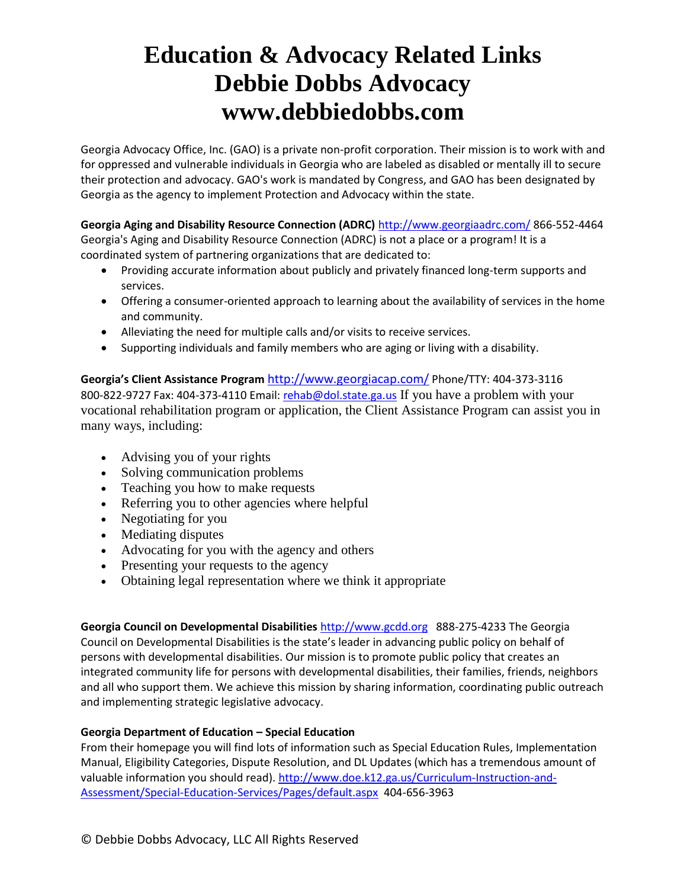Georgia Advocacy Office, Inc. (GAO) is a private non-profit corporation. Their mission is to work with and for oppressed and vulnerable individuals in Georgia who are labeled as disabled or mentally ill to secure their protection and advocacy. GAO's work is mandated by Congress, and GAO has been designated by Georgia as the agency to implement Protection and Advocacy within the state.

**Georgia Aging and Disability Resource Connection (ADRC)** <http://www.georgiaadrc.com/> 866-552-4464 Georgia's Aging and Disability Resource Connection (ADRC) is not a place or a program! It is a coordinated system of partnering organizations that are dedicated to:

- Providing accurate information about publicly and privately financed long-term supports and services.
- Offering a consumer-oriented approach to learning about the availability of services in the home and community.
- Alleviating the need for multiple calls and/or visits to receive services.
- Supporting individuals and family members who are aging or living with a disability.

**Georgia's Client Assistance Program** <http://www.georgiacap.com/> Phone/TTY: 404-373-3116 800-822-9727 Fax: 404-373-4110 Email: [rehab@dol.state.ga.us](mailto:rehab@dol.state.ga.us) If you have a problem with your vocational rehabilitation program or application, the Client Assistance Program can assist you in many ways, including:

- Advising you of your rights
- Solving communication problems
- Teaching you how to make requests
- Referring you to other agencies where helpful
- Negotiating for you
- Mediating disputes
- Advocating for you with the agency and others
- Presenting your requests to the agency
- Obtaining legal representation where we think it appropriate

**Georgia Council on Developmental Disabilities** [http://www.gcdd.org](http://www.gcdd.org/) 888-275-4233 The Georgia Council on Developmental Disabilities is the state's leader in advancing public policy on behalf of persons with developmental disabilities. Our mission is to promote public policy that creates an integrated community life for persons with developmental disabilities, their families, friends, neighbors and all who support them. We achieve this mission by sharing information, coordinating public outreach and implementing strategic legislative advocacy.

### **Georgia Department of Education – Special Education**

From their homepage you will find lots of information such as Special Education Rules, Implementation Manual, Eligibility Categories, Dispute Resolution, and DL Updates (which has a tremendous amount of valuable information you should read). [http://www.doe.k12.ga.us/Curriculum-Instruction-and-](http://www.doe.k12.ga.us/Curriculum-Instruction-and-Assessment/Special-Education-Services/Pages/default.aspx)[Assessment/Special-Education-Services/Pages/default.aspx](http://www.doe.k12.ga.us/Curriculum-Instruction-and-Assessment/Special-Education-Services/Pages/default.aspx) 404-656-3963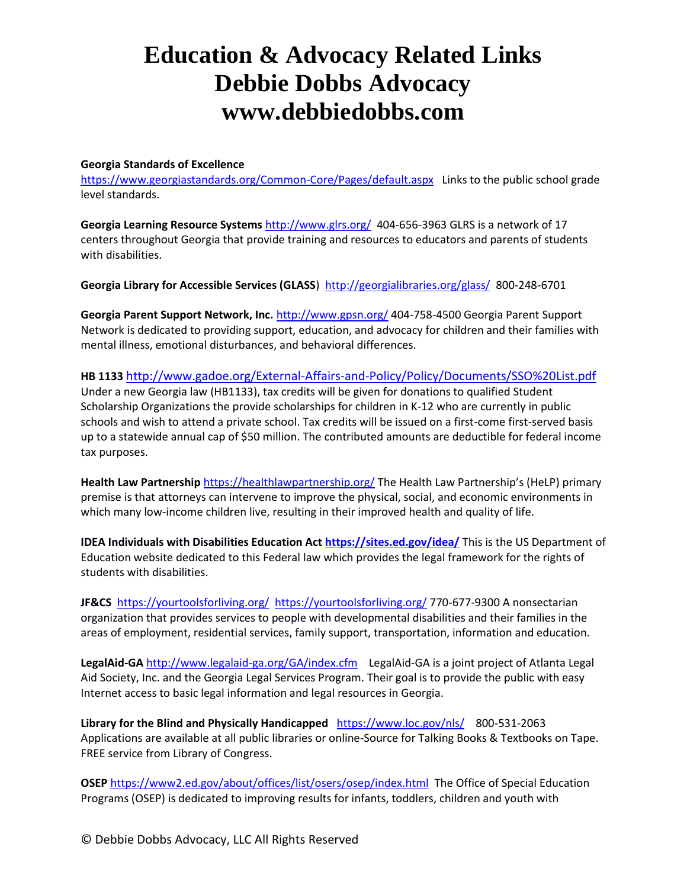#### **Georgia Standards of Excellence**

<https://www.georgiastandards.org/Common-Core/Pages/default.aspx> Links to the public school grade level standards.

**Georgia Learning Resource Systems** <http://www.glrs.org/> 404-656-3963 GLRS is a network of 17 centers throughout Georgia that provide training and resources to educators and parents of students with disabilities.

Georgia Library for Accessible Services (GLASS)<http://georgialibraries.org/glass/>800-248-6701

**Georgia Parent Support Network, Inc.** <http://www.gpsn.org/> 404-758-4500 Georgia Parent Support Network is dedicated to providing support, education, and advocacy for children and their families with mental illness, emotional disturbances, and behavioral differences.

**HB 1133** <http://www.gadoe.org/External-Affairs-and-Policy/Policy/Documents/SSO%20List.pdf> Under a new Georgia law (HB1133), tax credits will be given for donations to qualified Student Scholarship Organizations the provide scholarships for children in K-12 who are currently in public schools and wish to attend a private school. Tax credits will be issued on a first-come first-served basis up to a statewide annual cap of \$50 million. The contributed amounts are deductible for federal income tax purposes.

**Health Law Partnership** <https://healthlawpartnership.org/> The Health Law Partnership's (HeLP) primary premise is that attorneys can intervene to improve the physical, social, and economic environments in which many low-income children live, resulting in their improved health and quality of life.

**IDEA Individuals with Disabilities Education Ac[t https://sites.ed.gov/idea/](https://sites.ed.gov/idea/)** This is the US Department of Education website dedicated to this Federal law which provides the legal framework for the rights of students with disabilities.

**JF&CS** [https://yourtoolsforliving.org/ https://yourtoolsforliving.org/](https://yourtoolsforliving.org/) 770-677-9300 A nonsectarian organization that provides services to people with developmental disabilities and their families in the areas of employment, residential services, family support, transportation, information and education.

**LegalAid-GA** <http://www.legalaid-ga.org/GA/index.cfm>LegalAid-GA is a joint project of Atlanta Legal Aid Society, Inc. and the Georgia Legal Services Program. Their goal is to provide the public with easy Internet access to basic legal information and legal resources in Georgia.

**Library for the Blind and Physically Handicapped** <https://www.loc.gov/nls/> 800-531-2063 Applications are available at all public libraries or online-Source for Talking Books & Textbooks on Tape. FREE service from Library of Congress.

**OSEP** <https://www2.ed.gov/about/offices/list/osers/osep/index.html>The Office of Special Education Programs (OSEP) is dedicated to improving results for infants, toddlers, children and youth with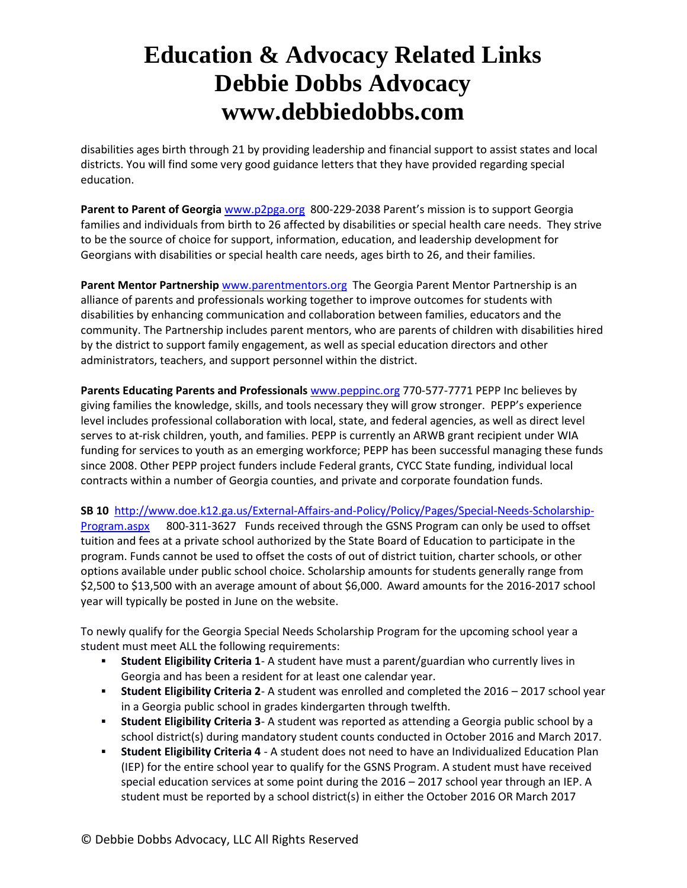disabilities ages birth through 21 by providing leadership and financial support to assist states and local districts. You will find some very good guidance letters that they have provided regarding special education.

Parent to Parent of Georgia [www.p2pga.org](http://www.p2pga.org/) 800-229-2038 Parent's mission is to support Georgia families and individuals from birth to 26 affected by disabilities or special health care needs. They strive to be the source of choice for support, information, education, and leadership development for Georgians with disabilities or special health care needs, ages birth to 26, and their families.

**Parent Mentor Partnership** [www.parentmentors.org](http://www.parentmentors.org/)The Georgia Parent Mentor Partnership is an alliance of parents and professionals working together to improve outcomes for students with disabilities by enhancing communication and collaboration between families, educators and the community. The Partnership includes parent mentors, who are parents of children with disabilities hired by the district to support family engagement, as well as special education directors and other administrators, teachers, and support personnel within the district.

**Parents Educating Parents and Professionals** [www.peppinc.org](http://www.peppinc.org/) 770-577-7771 PEPP Inc believes by giving families the knowledge, skills, and tools necessary they will grow stronger.PEPP's experience level includes professional collaboration with local, state, and federal agencies, as well as direct level serves to at-risk children, youth, and families. PEPP is currently an ARWB grant recipient under WIA funding for services to youth as an emerging workforce; PEPP has been successful managing these funds since 2008. Other PEPP project funders include Federal grants, CYCC State funding, individual local contracts within a number of Georgia counties, and private and corporate foundation funds.

**SB 10** [http://www.doe.k12.ga.us/External-Affairs-and-Policy/Policy/Pages/Special-Needs-Scholarship-](http://www.doe.k12.ga.us/External-Affairs-and-Policy/Policy/Pages/Special-Needs-Scholarship-Program.aspx)[Program.aspx](http://www.doe.k12.ga.us/External-Affairs-and-Policy/Policy/Pages/Special-Needs-Scholarship-Program.aspx) 800-311-3627 Funds received through the GSNS Program can only be used to offset tuition and fees at a private school authorized by the State Board of Education to participate in the program. Funds cannot be used to offset the costs of out of district tuition, charter schools, or other options available under public school choice. Scholarship amounts for students generally range from \$2,500 to \$13,500 with an average amount of about \$6,000. Award amounts for the 2016-2017 school year will typically be posted in June on the website.

To newly qualify for the Georgia Special Needs Scholarship Program for the upcoming school year a student must meet ALL the following requirements:

- **Student Eligibility Criteria 1** A student have must a parent/guardian who currently lives in Georgia and has been a resident for at least one calendar year.
- **Student Eligibility Criteria 2** A student was enrolled and completed the 2016 2017 school year in a Georgia public school in grades kindergarten through twelfth.
- **Student Eligibility Criteria 3** A student was reported as attending a Georgia public school by a school district(s) during mandatory student counts conducted in October 2016 and March 2017.
- **Student Eligibility Criteria 4** A student does not need to have an Individualized Education Plan (IEP) for the entire school year to qualify for the GSNS Program. A student must have received special education services at some point during the 2016 – 2017 school year through an IEP. A student must be reported by a school district(s) in either the October 2016 OR March 2017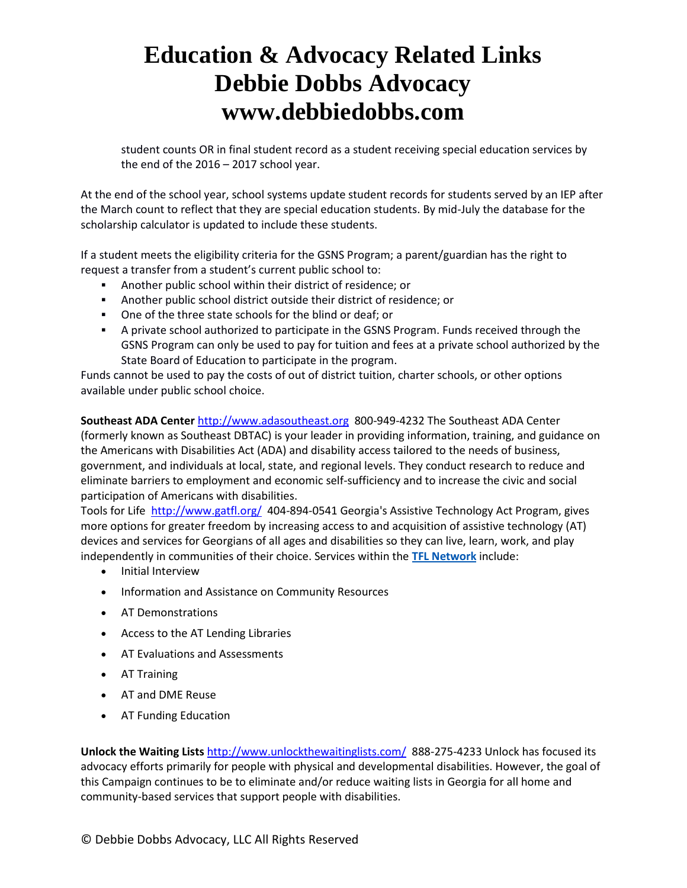student counts OR in final student record as a student receiving special education services by the end of the 2016 – 2017 school year.

At the end of the school year, school systems update student records for students served by an IEP after the March count to reflect that they are special education students. By mid-July the database for the scholarship calculator is updated to include these students.

If a student meets the eligibility criteria for the GSNS Program; a parent/guardian has the right to request a transfer from a student's current public school to:

- Another public school within their district of residence; or
- Another public school district outside their district of residence; or
- One of the three state schools for the blind or deaf; or
- A private school authorized to participate in the GSNS Program. Funds received through the GSNS Program can only be used to pay for tuition and fees at a private school authorized by the State Board of Education to participate in the program.

Funds cannot be used to pay the costs of out of district tuition, charter schools, or other options available under public school choice.

**Southeast ADA Center** [http://www.adasoutheast.org](http://www.adasoutheast.org/) 800-949-4232 The Southeast ADA Center (formerly known as Southeast DBTAC) is your leader in providing information, training, and guidance on the Americans with Disabilities Act (ADA) and disability access tailored to the needs of business, government, and individuals at local, state, and regional levels. They conduct research to reduce and eliminate barriers to employment and economic self-sufficiency and to increase the civic and social participation of Americans with disabilities.

Tools for Life<http://www.gatfl.org/>404-894-0541 Georgia's Assistive Technology Act Program, gives more options for greater freedom by increasing access to and acquisition of assistive technology (AT) devices and services for Georgians of all ages and disabilities so they can live, learn, work, and play independently in communities of their choice. Services within the **[TFL Network](http://www.gatfl.org/TFLNetwork.aspx)** include:

- Initial Interview
- Information and Assistance on Community Resources
- AT Demonstrations
- Access to the AT Lending Libraries
- AT Evaluations and Assessments
- AT Training
- AT and DME Reuse
- AT Funding Education

**Unlock the Waiting Lists** <http://www.unlockthewaitinglists.com/>888-275-4233 Unlock has focused its advocacy efforts primarily for people with physical and developmental disabilities. However, the goal of this Campaign continues to be to eliminate and/or reduce waiting lists in Georgia for all home and community-based services that support people with disabilities.